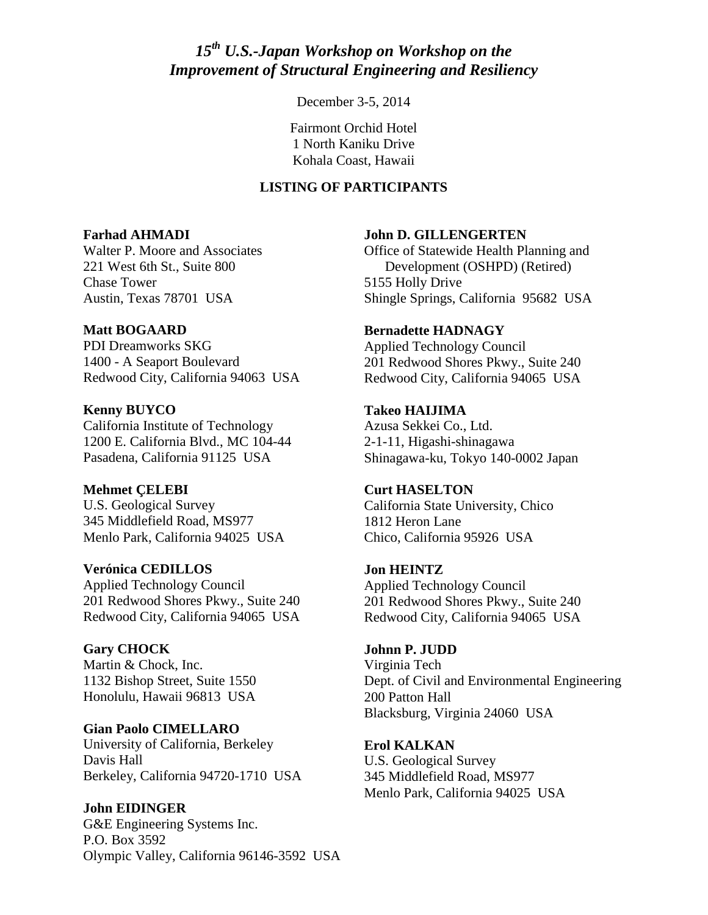# *15th U.S.-Japan Workshop on Workshop on the Improvement of Structural Engineering and Resiliency*

December 3-5, 2014

Fairmont Orchid Hotel 1 North Kaniku Drive Kohala Coast, Hawaii

### **LISTING OF PARTICIPANTS**

#### **Farhad AHMADI**

Walter P. Moore and Associates 221 West 6th St., Suite 800 Chase Tower Austin, Texas 78701 USA

#### **Matt BOGAARD**

PDI Dreamworks SKG 1400 - A Seaport Boulevard Redwood City, California 94063 USA

**Kenny BUYCO** California Institute of Technology 1200 E. California Blvd., MC 104-44 Pasadena, California 91125 USA

**Mehmet ÇELEBI** U.S. Geological Survey 345 Middlefield Road, MS977 Menlo Park, California 94025 USA

**Verónica CEDILLOS** Applied Technology Council 201 Redwood Shores Pkwy., Suite 240 Redwood City, California 94065 USA

**Gary CHOCK** Martin & Chock, Inc. 1132 Bishop Street, Suite 1550 Honolulu, Hawaii 96813 USA

**Gian Paolo CIMELLARO** University of California, Berkeley Davis Hall Berkeley, California 94720-1710 USA

**John EIDINGER** G&E Engineering Systems Inc. P.O. Box 3592 Olympic Valley, California 96146-3592 USA **John D. GILLENGERTEN** 

Office of Statewide Health Planning and Development (OSHPD) (Retired) 5155 Holly Drive Shingle Springs, California 95682 USA

**Bernadette HADNAGY**  Applied Technology Council 201 Redwood Shores Pkwy., Suite 240 Redwood City, California 94065 USA

**Takeo HAIJIMA** Azusa Sekkei Co., Ltd. 2-1-11, Higashi-shinagawa Shinagawa-ku, Tokyo 140-0002 Japan

**Curt HASELTON** California State University, Chico 1812 Heron Lane Chico, California 95926 USA

**Jon HEINTZ** Applied Technology Council 201 Redwood Shores Pkwy., Suite 240 Redwood City, California 94065 USA

**Johnn P. JUDD**  Virginia Tech Dept. of Civil and Environmental Engineering 200 Patton Hall Blacksburg, Virginia 24060 USA

**Erol KALKAN**  U.S. Geological Survey 345 Middlefield Road, MS977 Menlo Park, California 94025 USA